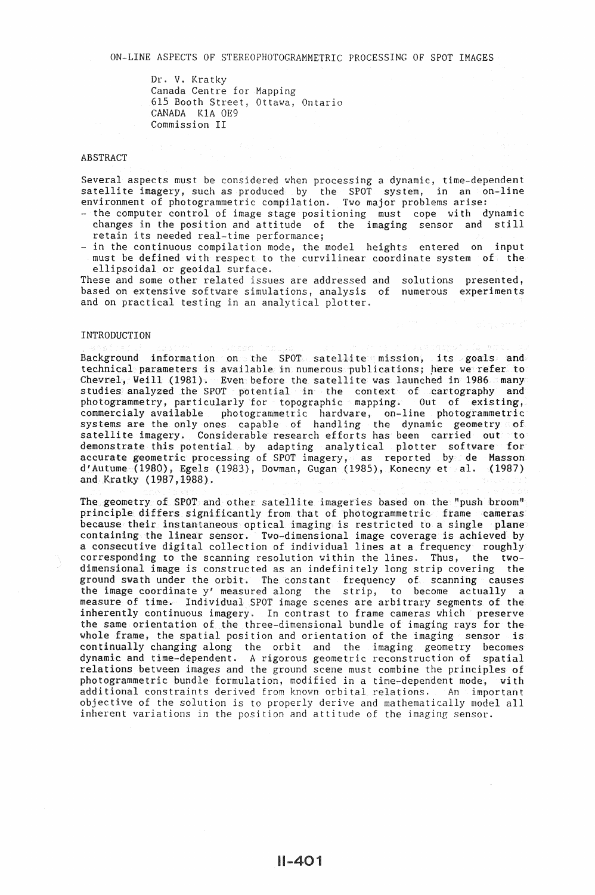Dr. V. Kratky Canada Centre for Mapping 615 Booth Street, Ottawa, Ontario CANADA KlA OE9 Commission II

# **ABSTRACT**

Several aspects must be considered when processing a dynamic, time-dependent satellite imagery, such as produced by the SPOT system, in an on-line environment of photogrammetric compilation. Two major problems arise:

- the computer control of image stage positioning must cope with dynamic changes in the position and attitude of the imaging sensor and still retain its needed real-time performance;
- in the continuous compilation mode, the model heights entered on input must be defined with respect to the curvilinear coordinate system of the ellipsoidal or geoidal surface.

These and some other related issues are addressed and solutions presented, based on extensive software simulations, analysis of numerous experiments and on practical testing in an analytical plotter.

#### INTRODUCTION

Background information on the SPOT satellite mission, its goals and technical parameters is available in numerous publications; here we refer to Chevrel, Weill (1981). Even before the satellite was launched in 1986 many studies analyzed the SPOT potential in the context of cartography and photogrammetry, particularly for topographic mapping. Out of existing, commercialy available photogrammetric hardware, on-line photogrammetric systems are the only ones capable of handling the dynamic geometry of satellite imagery. Considerable research efforts has been carried out to demonstrate this potential by adapting analytical plotter software for accurate geometric processing of SPOT imagery, as reported by de Masson d'Autume (1980), Egels (1983), Dowman, Gugan (1985), Konecny et al. (1987) and Kratky (1987,1988).

The geometry of SPOT and other satellite imageries based on the "push broom" principle differs significantly from that of photogrammetric frame cameras because their instantaneous optical imaging is restricted to a single plane containing the linear sensor. Two-dimensional image coverage is achieved by a consecutive digital collection of individual lines at a frequency roughly corresponding to the scanning resolution within the lines. Thus, the twodimensional image is constructed as an indefinitely long strip covering the ground swath under the orbit. The constant frequency of scanning causes the image coordinate y' measured along the strip, to become actually a measure of time. Individual SPOT image scenes are arbitrary segments of the inherently continuous imagery. In contrast to frame cameras which preserve the same orientation of the three-dimensional bundle of imaging rays for the whole frame, the spatial position and orientation of the imaging sensor is continually changing along the orbit and the imaging geometry becomes dynamic and time-dependent. *A* rigorous geometric reconstruction of spatial relations between images and the ground scene must combine the principles of photogrammetric bundle formulation, modified in a time-dependent mode, with additional constraints derived from known orbital relations. An important objective of the solution is to properly derive and mathematically model all inherent variations in the position and attitude of the imaging sensor.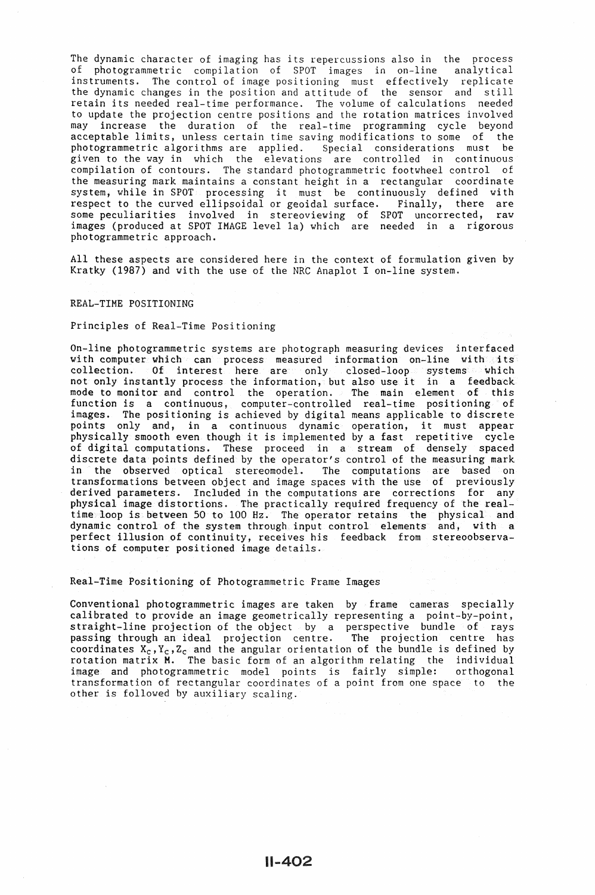The dynamic character of imaging has its repercussions also in the process of photogrammetric compilation of SPOT images in on-line analytical instruments. The control of image positioning must effectively replicate the dynamic changes in the position and attitude of the sensor and still retain its needed real-time performance. The volume of calculations needed to update the projection centre positions and the rotation matrices involved may increase the duration of the real-time programming cycle beyond acceptable limits, unless certain time saving modifications to some of the photogrammetric algorithms are applied. Special considerations must be given to the way in which the elevations are controlled in continuous compilation of contours. The standard photogrammetric footwheel control of the measuring mark maintains a constant height in a rectangular coordinate system, while in SPOT processing it must be continuously defined with respect to the curved ellipsoidal or geoidal surface. Finally, there are some peculiarities involved in stereoviewing of SPOT uncorrected, raw images (produced at SPOT IMAGE level la) which are needed in a rigorous photogrammetric approach.

All these aspects are considered here in the context of formulation given by Kratky (1987) and with the use of the NRC Anaplot I on-line system.

# REAL-TIME POSITIONING

Principles of Real-Time Positioning

On-line photogrammetric systems are photograph measuring devices interfaced with computer which can process measured information on-line with its collection. Of interest here are only closed-loop systems which not only instantly process the information, but also use it in a feedback mode to monitor and control the operation. The main element of this function is a continuous, computer-controlled real-time positioning of images. The positioning is achieved by digital means applicable to discrete points only and, in a continuous dynamic operation, it must appear physically smooth even though it is implemented by a fast repetitive cycle of digital computations. These proceed in a stream of densely spaced discrete data points defined by the operator's control of the measuring mark in the observed optical stereomodel. The computations are based on transformations between object and image spaces with the use of previously derived parameters. Included in the computations are corrections for any physical image distortions. The practically required frequency of the realtime loop is between 50 to 100 Hz. The operator retains the physical and dynamic control of the system through input control elements and, with a perfect illusion of continuity, receives his feedback from stereoobservations of computer positioned image details.

Real-Time Positioning of Photogrammetric Frame Images

Conventional photogrammetric images are taken by frame cameras specially calibrated to provide an image geometrically representing a point-by-point, straight-line projection of the object by a perspective bundle of rays passing through an ideal projection centre. The projection centre has coordinates  $X_c$ , $Y_c$ , $Z_c$  and the angular orientation of the bundle is defined by rotation matrix H. The basic form of an algorithm relating the individual image and photogrammetric model points is fairly simple: orthogonal transformation of rectangular coordinates of a point from one space to the other is followed by auxiliary scaling.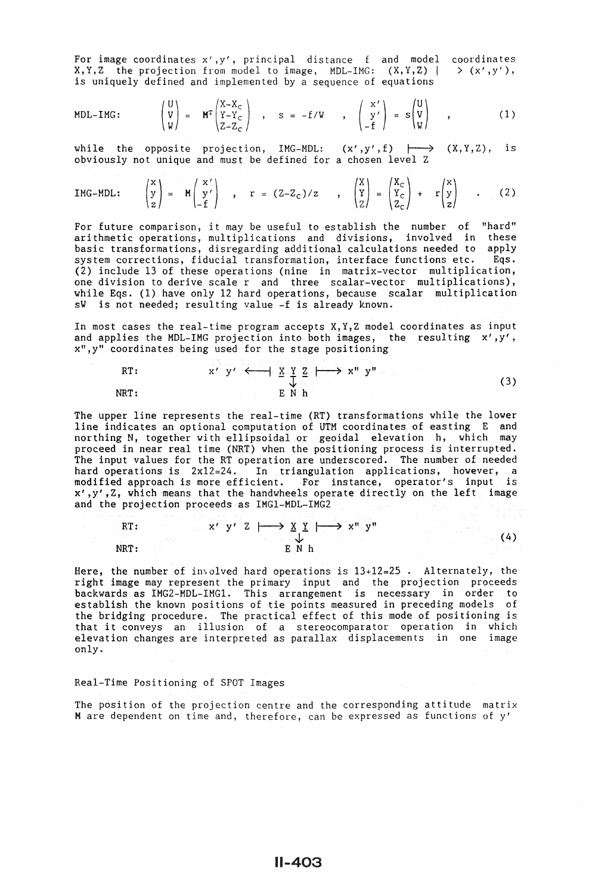For image coordinates x',y', principal distance f and model X,Y,Z the projection from model to image, MDL-IMG: (X,Y,Z) I is uniquely defined and implemented by a sequence of equations coordinates  $> (x', y')$ ,

MDL-ING: 
$$
\begin{pmatrix} U \\ V \\ W \end{pmatrix} = M^T \begin{pmatrix} X-X_C \\ Y-Y_C \\ Z-Z_C \end{pmatrix} , S = -f/W , \begin{pmatrix} X' \\ Y' \\ -f \end{pmatrix} = s \begin{pmatrix} U \\ V \\ W \end{pmatrix} ,
$$
 (1)

while the opposite projection, IMG-MDL:  $(x', y', f) \longmapsto (X, Y, Z)$ , is obviously not unique and must be defined for a chosen level Z

$$
IMG-MDL: \qquad \begin{pmatrix} x \\ y \\ z \end{pmatrix} = M \begin{pmatrix} x' \\ y' \\ -f \end{pmatrix} \quad , \qquad r = (Z-Z_C)/z \qquad , \qquad \begin{pmatrix} X \\ Y \\ Z \end{pmatrix} = \begin{pmatrix} X_C \\ Y_C \\ Z_C \end{pmatrix} + r \begin{pmatrix} X \\ Y \\ Z \end{pmatrix} \quad . \tag{2}
$$

For future comparison, it may be useful to establish the number of "hard" arithmetic operations, multiplications and divisions, involved in these basic transformations, disregarding additional calculations needed to apply system corrections, fiducial transformation, interface functions etc. Eqs. system corrections, fiducial transformation, interface functions etc. (2) include 13 of these operations (nine in matrix-vector multiplication, one division to derive scale r and three scalar-vector multiplications), while Eqs. (1) have only 12 hard operations, because scalar multiplication sV is not needed; resulting value -f is already known.

In most cases the real-time program accepts X,Y,Z model coordinates as input and applies the MDL-IMG projection into both images, the resulting  $x', y',$ x",y" coordinates being used for the stage positioning

RT: 
$$
x' y' \leftarrow x' y' \leftarrow x'' \quad x'' y''
$$
 (3)

The upper line represents the real-time (RT) transformations while the lower line indicates an optional computation of UTM coordinates of easting E and northing N, together with ellipsoidal or geoidal elevation h, which may proceed in near real time (NRT) when the positioning process is interrupted. The input values for the RT operation are underscored. The number of needed hard operations is 2x12=24. In triangulation applications, however, a modified approach is more efficient. For instance, operator's input is  $x^{\prime}$ ,  $y^{\prime}$ ,  $z$ , which means that the handwheels operate directly on the left image and the projection proceeds as IMG1-MDL-IMG2

$$
\begin{array}{c}\n\begin{array}{c}\n\mathbf{RT:} \\
\downarrow \\
\mathbf{NRT:}\n\end{array}\n\end{array}\n\qquad\n\begin{array}{c}\n\mathbf{X' \quad y' \quad Z \quad | \quad \longrightarrow \quad \mathbf{X'' \quad Y''} \\
\downarrow \\
\mathbf{E \quad N \quad h}\n\end{array}\n\qquad\n\begin{array}{c}\n\mathbf{X'' \quad y''}\n\end{array}\n\qquad\n\begin{array}{c}\n\mathbf{X'' \quad y''}\n\end{array}\n\qquad\n\begin{array}{c}\n\mathbf{X'' \quad y''}\n\end{array}\n\qquad\n\begin{array}{c}\n\mathbf{X'' \quad y''}\n\end{array}\n\qquad\n\begin{array}{c}\n\mathbf{X'' \quad y''}\n\end{array}\n\qquad\n\begin{array}{c}\n\mathbf{X'' \quad y''}\n\end{array}\n\qquad\n\begin{array}{c}\n\mathbf{X'' \quad y''}\n\end{array}\n\qquad\n\begin{array}{c}\n\mathbf{X'' \quad y''}\n\end{array}\n\qquad\n\begin{array}{c}\n\mathbf{X'' \quad y''}\n\end{array}\n\qquad\n\begin{array}{c}\n\mathbf{X'' \quad y''}\n\end{array}\n\qquad\n\begin{array}{c}\n\mathbf{X'' \quad y''}\n\end{array}\n\qquad\n\begin{array}{c}\n\mathbf{X'' \quad y''}\n\end{array}\n\qquad\n\begin{array}{c}\n\mathbf{X'' \quad y''}\n\end{array}\n\qquad\n\begin{array}{c}\n\mathbf{X'' \quad y''}\n\end{array}\n\qquad\n\begin{array}{c}\n\mathbf{X'' \quad y''}\n\end{array}\n\qquad\n\begin{array}{c}\n\mathbf{X'' \quad y''}\n\end{array}\n\qquad\n\begin{array}{c}\n\mathbf{X'' \quad y''}\n\end{array}\n\qquad\n\begin{array}{c}\n\mathbf{X'' \quad y''}\n\end{array}\n\qquad\n\begin{array}{c}\n\mathbf{X'' \quad y''}\n\end{array}\n\qquad\n\begin{array}{c}\n\mathbf{X'' \quad y''}\n\end{array}\n\qquad\n\begin{array}{c}\n\mathbf{X'' \quad y''}\n\end{array}\n\qquad\n\begin{array}{c}
$$

Here, the number of involved hard operations is  $13+12=25$ . Alternately, the right image may represent the primary input and the projection proceeds backwards as IMG2-MDL-IMG1. This arrangement is necessary in order to establish the known positions of tie points measured in preceding models of the bridging procedure. The practical effect of this mode of positioning is that it conveys an illusion of a stereocomparator operation in which elevation changes are interpreted as parallax displacements in one image only.

#### Real-Time Positioning of SPOT Images

The position of the projection centre and the corresponding attitude matrix M are dependent on time and, therefore, can be expressed as functions of y'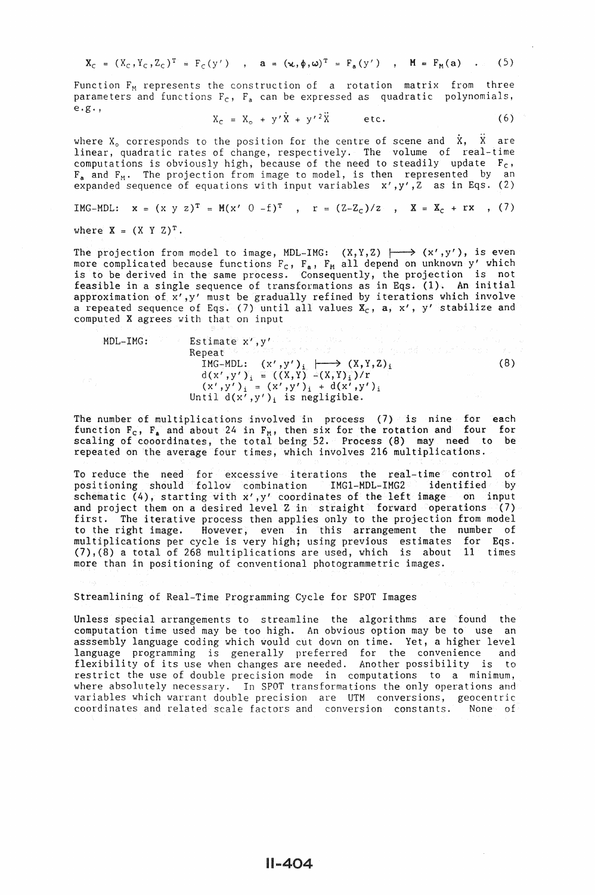$$
\mathbf{X}_{\mathbf{C}} = (\mathbf{X}_{\mathbf{C}}, \mathbf{Y}_{\mathbf{C}}, \mathbf{Z}_{\mathbf{C}})^{\mathbf{T}} = \mathbf{F}_{\mathbf{C}}(\mathbf{y}') \quad , \quad \mathbf{a} = (\mathbf{x}, \phi, \omega)^{\mathbf{T}} = \mathbf{F}_{\mathbf{a}}(\mathbf{y}') \quad , \quad \mathbf{M} = \mathbf{F}_{\mathbf{M}}(\mathbf{a}) \quad . \tag{5}
$$

Function  $F_M$  represents the construction of a rotation matrix from three parameters and functions  $F_c$ ,  $F_a$  can be expressed as quadratic polynomials, e.g.'

$$
X_c = X_o + y'\dot{X} + y'^2\ddot{X} \qquad etc.
$$
 (6)

where  $X_0$  corresponds to the position for the centre of scene and  $\dot{X}$ ,  $\ddot{X}$  are linear, quadratic rates of change, respectively. The volume of real-time computations is obviously high, because of the need to steadily update  $F_c$ ,  $F_a$  and  $F_M$ . The projection from image to model, is then represented by an expanded sequence of equations with input variables  $x', y', Z$  as in Eqs. (2)

$$
IMG-MDL: \quad x = (x \ y \ z)^{T} = M(x' \ 0 - f)^{T} \quad , \quad r = (Z-Z_C)/z \quad , \quad X = X_C + rx \quad , \quad (7)
$$

where  $X = (X \ Y \ Z)^T$ .

The projection from model to image, MDL-IMG:  $(X,Y,Z)$   $\longmapsto$   $(x',y')$ , is even more complicated because functions  $F_c$ ,  $F_a$ ,  $F_M$  all depend on unknown y' which is to be derived in the same process. Consequently, the projection is not feasible in a single sequence of transformations as in Eqs. (1). An initial approximation of x',y' must be gradually refined by iterations which involve a repeated sequence of Eqs. (7) until all values  $\mathbf{x}_c$ , a, x', y' stabilize and computed X agrees with that on input

MDL-IMG:

\n
$$
\begin{array}{ll}\n\text{Estimate } x', y' \\
\text{Repeat } \circ \circ \circ \circ \circ \circ \circ \\
\text{IMG-MDL:} & (x', y')_i \quad \longrightarrow (X, Y, Z)_i \\
& d(x', y')_i = ((X, Y) - (X, Y)_i) / r \\
& (x', y')_i = (x', y')_i + d(x', y')_i \\
\text{Until } d(x', y')_i \text{ is negligible.}\n\end{array}
$$
\n(8)

The number of multiplications involved in process (7) is nine for each function  $F_c$ ,  $F_a$  and about 24 in  $F_M$ , then six for the rotation and four for scaling of cooordinates, the total being 52. Process (8) may need to be repeated on the average four times, which involves 216 multiplications.

To reduce the need for excessive iterations the real-time control of positioning should follow combination IMG1-MDL-IMG2<sup>2</sup> identified by positioning should follow combination IMG1-MDL-IMG2 schematic (4), starting with  $x^i$ ,  $y^i$  coordinates of the left image on input and project them on a desired level Z in straight forward operations (7) first. The iterative process then applies only to the projection from model to the right image. However, even in this arrangement the number of multiplications per cycle is very high; using previous estimates for Eqs.  $(7)$ ,  $(8)$  a total of 268 multiplications are used, which is about  $11$  times more than in positioning of conventional photogrammetric images.

Streamlining of Real-Time Programming Cycle for SPOT Images

Unless special arrangements to streamline the algorithms are found the computation time used may be too high. An obvious option may be to use an asssembly language coding which would cut down on time. Yet, a higher level language programming is generally preferred for the convenience and flexibility of its use when changes are needed. Another possibility is to restrict the use of double precision mode in computations to a minimum, where absolutely necessary. In SPOT transformations the only operations and variables which warrant double precision are UTM conversions, geocentric coordinates and related scale factors and conversion constants. None of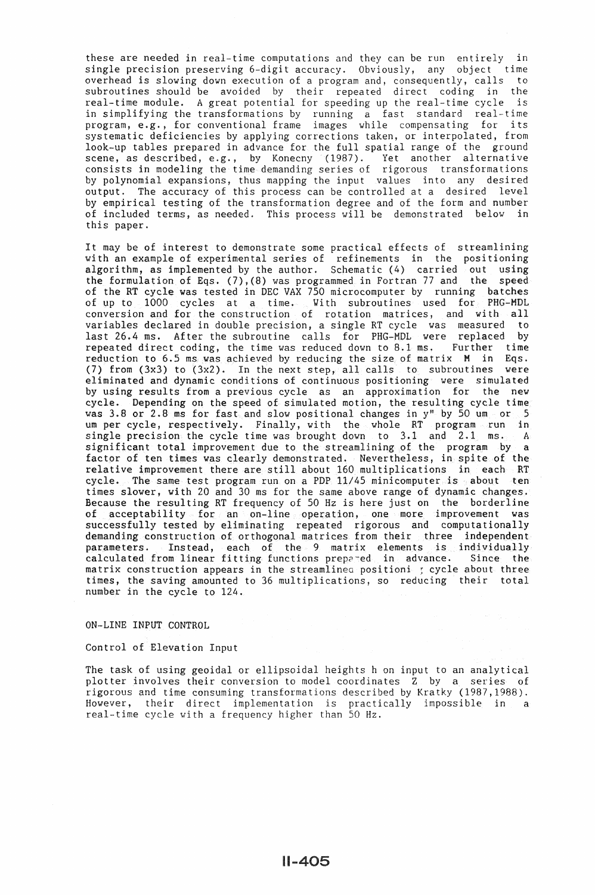these are needed in real-time computations and they can be run entirely in single precision preserving 6-digit accuracy. Obviously, any object time overhead is slowing down execution of a program and, consequently, calls to subroutines should be avoided by their repeated direct coding in the real-time module. A great potential for speeding up the real-time cycle is in simplifying the transformations by running  $a$  fast standard real-time program, e.g., for conventional frame images while compensating for its systematic deficiencies by applying corrections taken, or interpolated, from look-up tables prepared in advance for the full spatial range of the ground scene, as described, e.g., by Konecny (1987). Yet another alternative consists in modeling the time demanding series of rigorous transformations by polynomial expansions, thus mapping the input values into any desired output. The accuracy of this process can be controlled at a desired level by empirical testing of the transformation degree and of the form and number of included terms, as needed. This process will be demonstrated below in this paper.

It may be of interest to demonstrate some practical effects of streamlining with an example of experimental series of refinements in the positioning algorithm, as implemented by the author. Schematic (4) carried out using the formulation of Eqs. (7),(8) was programmed in Fortran 77 and the speed of the RT cycle was tested in DEC VAX 750 microcomputer by running batches of up to 1000 cycles at a time. With subroutines used for PHG-HDL conversion and for the construction of rotation matrices, and with all variables declared in double precision, a single RT cycle was measured to last 26.4 ms. After the subroutine calls for PHG-MDL were replaced by repeated direct coding, the time was reduced down to 8.1 ms. Further time reduction to 6.5 ms was achieved by reducing the size of matrix  $M$  in Eqs. reduction to 6.5 ms was achieved by reducing the size of matrix  $M$  in Eqs.<br>(7) from (3x3) to (3x2). In the next step, all calls to subroutines were (7) from (3x3) to (3x2). In the next step, all calls to subroutines eliminated and dynamic conditions of continuous positioning were simulated by using results from a previous cycle as an approximation for the new cycle. Depending on the speed of simulated motion, the resulting cycle time was 3.8 or 2.8 ms for fast and slow positional changes in  $y''$  by 50 um or 5 um per cycle, respectively. Finally, with the whole RT program run in single precision the cycle time was brought down to 3.1 and 2.1 ms. A significant total improvement due to the streamlining of the program by a factor of ten times was clearly demonstrated. Nevertheless, in spite of the relative improvement there are still about 160 multiplications in each RT cycle. The same test program run on a PDP 11/45 minicomputer is about ten times slower, with 20 and 30 ms for the same above range of dynamic changes. Because the resulting RT frequency of 50 Hz is here just on the borderline of acceptability for an on-line operation, one more improvement was successfully tested by eliminating repeated rigorous and computationally demanding construction of orthogonal matrices from their three independent parameters. Instead, each of the 9 matrix elements is individually calculated from linear fitting functions prepc-ed in advance. Since the matrix construction appears in the streamlinea positioni r cycle about three times, the saving amounted to 36 multiplications, so reducing their total number in the cycle to 124.

### ON-LINE INPUT CONTROL

### Control of Elevation Input

The task of using geoidal or ellipsoidal heights h on input to an analytical plotter involves their conversion to model coordinates Z by a series of rigorous and time consuming transformations described by Kratky (1987,1988). However, their direct implementation is practically impossible in a real-time cycle with a frequency higher than 50 Hz.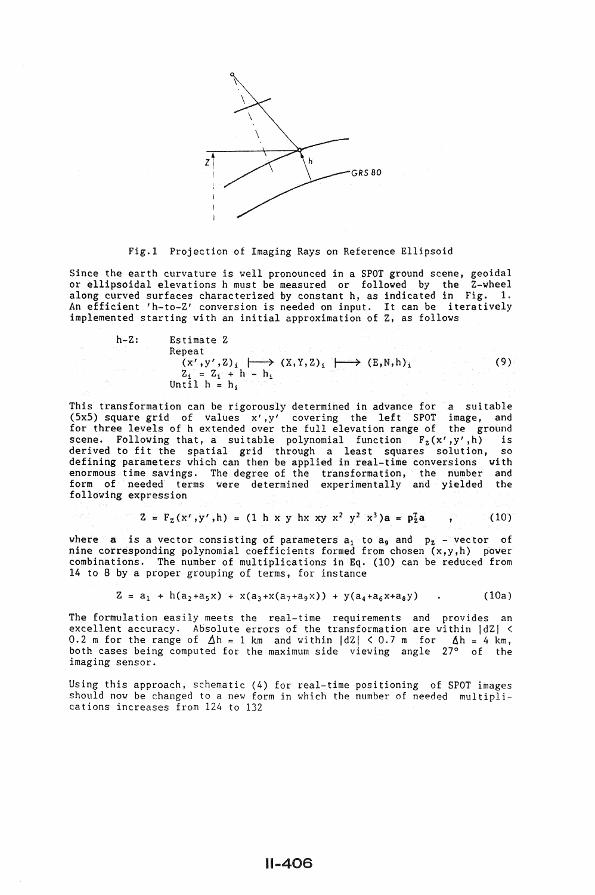

Fig.l Projection of Imaging Rays on Reference Ellipsoid

Since the earth curvature is well pronounced in a SPOT ground scene, geoidal or ellipsoidal elevations h must be measured or followed by the Z-wheel along curved surfaces characterized by constant h, as indicated in Fig. 1. An efficient 'h-to-Z' conversion is needed on input. It can be iteratively implemented starting with an initial approximation of Z, as follows

h-Z: Estimate Z Repeat  $(x', y', z)_i \mapsto (x, y, z)_i \mapsto (E, N, h)_i$  $Z_i = Z_i + h - h_i$ Until  $h = h_i$ (9)

This transformation can be rigorously determined in advance for a suitable (SxS) square grid of values x' ,y' covering the left SPOT image, and for three levels of h extended over the full elevation range of the ground scene. Following that, a suitable polynomial function  $F_z(x', y', h)$  is derived to fit the spatial grid through a least squares solution, so defining parameters which can then be applied in real-time conversions with enormous time savings. The degree of the transformation, the number and form of needed terms were determined experimentally and yielded the following expression

$$
Z = F_z(x^r, y^r, h) = (1 \; h \times y \; hx \; xy - x^2 \; y^2 - x^3) a = p_z^2 a \qquad , \qquad (10)
$$

where a is a vector consisting of parameters  $a_1$  to  $a_9$  and  $p_2$  - vector of nine corresponding polynomial coefficients formed from chosen (x,y,h) power combinations. The number of multiplications in Eq. (10) can be reduced from 14 to 8 by a proper grouping of terms, for instance

$$
Z = a_1 + h(a_2 + a_5x) + x(a_3 + x(a_7 + a_9x)) + y(a_4 + a_6x + a_8y) \qquad (10a)
$$

The formulation easily meets the real-time requirements and provides an excellent accuracy. Absolute errors of the transformation are within  $|dZ| \le$ 0.2 m for the range of  $\Delta h = 1$  km and within  $|dZ| < 0.7$  m for  $\Delta h = 4$  km, both cases being computed for the maximum side viewing angle 27° of the imaging sensor.

Using this approach, schematic (4) for real-time positioning of SPOT images should now be changed to a new form in which the number of needed multiplications increases from 124 to 132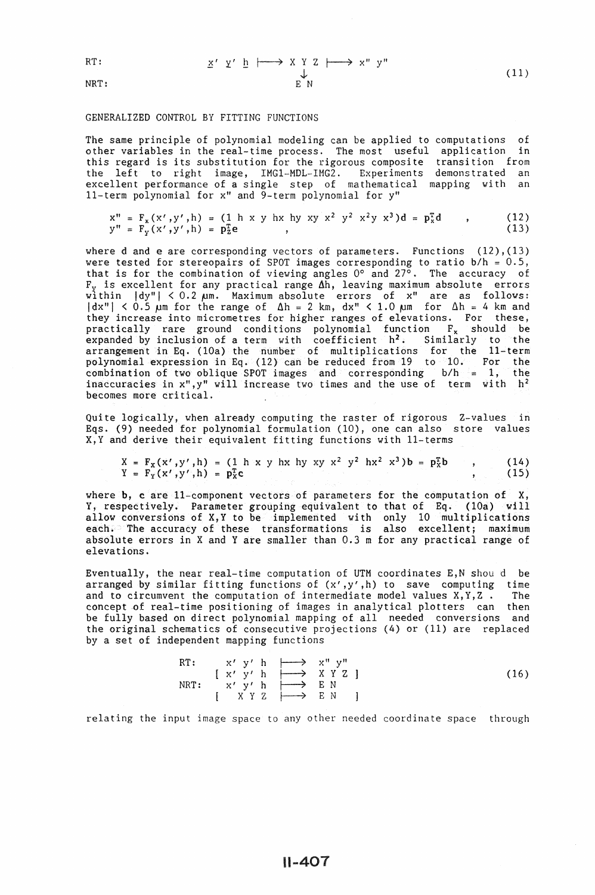$$
\mathtt{RT} \colon
$$

NRT:

$$
\underline{x}' \underline{y}' \underline{h} \downarrow \longrightarrow \underline{x} \underline{y} \underline{z} \downarrow \longrightarrow \underline{x}'' \underline{y}''
$$
\n
$$
\downarrow \qquad \qquad \downarrow
$$
\n
$$
\downarrow
$$
\n
$$
\downarrow
$$
\n
$$
(11)
$$

#### GENERALIZED CONTROL BY FITTING FUNCTIONS

The same principle of polynomial modeling can be applied to computations of other variables in the real-time process. The most useful application in this regard is its substitution for the rigorous composite the left to right image, IMG1-MDL-IMG2. Experiments excellent performance of a single step of mathematical 11-term polynomial for x" and 9-term polynomial for y" transition from demonstrated an mapping with an

$$
x'' = F_x(x', y', h) = (1 h x y h x h y x y x2 y2 x2 y x3)d = pxT d , (12)y'' = F_y(x', y', h) = pzT e , (13)
$$

where d and e are corresponding vectors of parameters. Functions (12), (13) were tested for stereopairs of SPOT images corresponding to ratio  $b/h = 0.5$ , that is for the combination of viewing angles 0° and 27°. The accuracy of  $F_v$  is excellent for any practical range  $\Delta h$ , leaving maximum absolute errors within |dy"| < 0.2 pm. Maximum absolute errors of x" are as follows:  $|dx''| < 0.5$   $\mu$ m for the range of  $\Delta h = 2$  km,  $dx'' < 1.0$   $\mu$ m for  $\Delta h = 4$  km and they increase into micrometres for higher ranges of elevations. For these, practically rare ground conditions polynomial function  $F_x$  should be expanded by inclusion of a term with coefficient  $h^2$ . Similarly to the arrangement in Eq. (lOa) the number of multiplications for the 11-term polynomial expression in Eq. (12) can be reduced from 19 to 10. For the combination of two oblique SPOT images and corresponding  $b/h = 1$ , the inaccuracies in x",y" will increase two times and the use of term with h2 becomes more critical.

Quite logically, when already computing the raster of rigorous Z-values in Eqs. (9) needed for polynomial formulation (10), one can also store values X,Y and derive their equivalent fitting functions with 11-terms

$$
X = F_X(x', y', h) = (1 h \times y hx h y x y^2 y^2 h x^2 x^3) b = p_x^T b
$$
 (14)  
\n
$$
Y = F_Y(x', y', h) = p_X^T c
$$
 (15)

where **b**, c are 11-component vectors of parameters for the computation of X, Y, respectively. Parameter grouping equivalent to that of Eq. (10a) will allow conversions of X,Y to be implemented with only 10 multiplications each. The accuracy of these transformations is also excellent; maximum absolute errors in X and Y are smaller than 0.3 m for any practical range of elevations.

Eventually, the near real-time computation of UTM coordinates E,N shou d be arranged by similar fitting functions of  $(x', y', h)$  to save computing time<br>and to circumvent the computation of intermediate model values  $x, y, z$ . The and to circumvent the computation of intermediate model values  $X, Y, Z$ . concept of real-time positioning of images in analytical plotters can then be fully based on direct polynomial mapping of all needed conversions and the original schematics of consecutive projections (4) or (11) are replaced by a set of independent mapping functions

RT: 
$$
x' y' h \longrightarrow x'' y''
$$
  
\n
$$
[x' y' h \longrightarrow X Y Z ]
$$
  
\n
$$
[x' y' h \longrightarrow X Y Z ]
$$
  
\n
$$
[x' Y' h \longrightarrow E N ]
$$
  
\n
$$
[X Y Z \longrightarrow E N ]
$$
  
\n(16)

relating the input image space to any other needed coordinate space through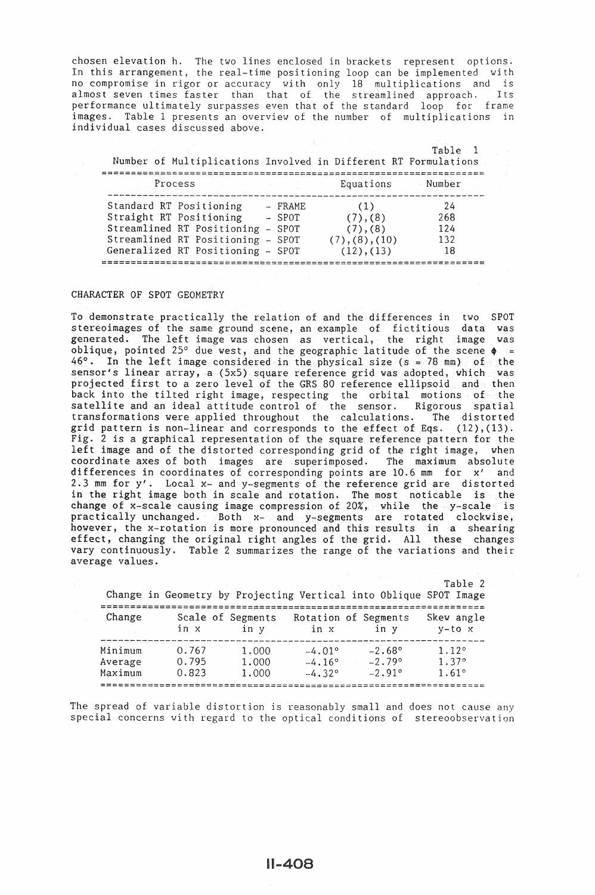chosen elevation h. The two lines enclosed in brackets represent options. In this arrangement, the real-time positioning loop can be implemented with no compromise in rigor or accuracy with only 18 multiplications and is almost seven times faster than that of the streamlined approach. Its performance ultimately surpasses even that of the standard loop for frame images. Table 1 presents an overview of the number of multiplications in individual cases discussed above.

| Number of Multiplications Involved in Different RT Formulations                                                                                              |                               |                                                             | Table 1                        |
|--------------------------------------------------------------------------------------------------------------------------------------------------------------|-------------------------------|-------------------------------------------------------------|--------------------------------|
| Process                                                                                                                                                      |                               | Equations                                                   | - Number                       |
| Standard RT Positioning<br>Straight RT Positioning<br>Streamlined RT Positioning -<br>Streamlined RT Positioning - SPOT<br>Generalized RT Positioning - SPOT | $-$ FRAME<br>$-$ SPOT<br>SPOT | (1)<br>(7), (8)<br>(7), (8)<br>(7), (8), (10)<br>(12), (13) | 24<br>268<br>124<br>132<br>-18 |

# CHARACTER OF SPOT GEOMETRY

To demonstrate practically the relation of and the differences in two SPOT stereoimages of the same ground scene, an example of fictitious data was generated. The left image was chosen as vertical, the right image was oblique, pointed 25° due west, and the geographic latitude of the scene  $\phi =$  $46^\circ$ . In the left image considered in the physical size (s = 78 mm) of the sensor's linear array, a (5x5) square reference grid was adopted, which was projected first to a zero level of the GRS 80 reference ellipsoid and then back into the tilted right image, respecting the orbital motions of the satellite and an ideal attitude control of the sensor. Rigorous spatial transformations were applied throughout the calculations. The distorted grid pattern is non-linear and corresponds to the effect of Eqs.  $(12)$ , $(13)$ . Fig. 2 is a graphical representation of the square reference pattern for the left image and of the distorted corresponding grid of the right image, when coordinate axes of both images are superimposed. The maximum absolute differences in coordinates of corresponding points are 10.6 mm for x' and 2.3 mm for  $y'$ . Local  $x-$  and  $y-$ segments of the reference grid are distorted in the right image both in scale and rotation. The most noticable is the change of x-scale causing image compression of 20%, while the y-scale is practically unchanged. Both x- and y-segments are rotated clockwise, however, the x-rotation is more pronounced and this results in a shearing effect, changing the original right angles of the grid. All these changes vary continuously. Table 2 summarizes the range of the variations and their average values.

|         |                           |       | Change in Geometry by Projecting Vertical into Oblique SPOT Image |                 | Table 2                |
|---------|---------------------------|-------|-------------------------------------------------------------------|-----------------|------------------------|
| Change  | Scale of Segments<br>in x | in v  | Rotation of Segments<br>in x                                      | in v            | Skew angle<br>$y-to x$ |
| Minimum | 0.767                     | 1,000 | $-4.01^{\circ}$                                                   | $-2.68^{\circ}$ | 1.12°                  |
| Average | 0.795                     | 1,000 | $-4.16^{\circ}$                                                   | $-2.79°$        | 1.37°                  |
| Maximum | 0.823                     | 1,000 | $-4.32^{\circ}$                                                   | $-2.91°$        | 1.61°                  |
|         |                           |       |                                                                   |                 |                        |

The spread of variable distortion is reasonably small and does not cause any special concerns with regard to the optical conditions of stereoobservation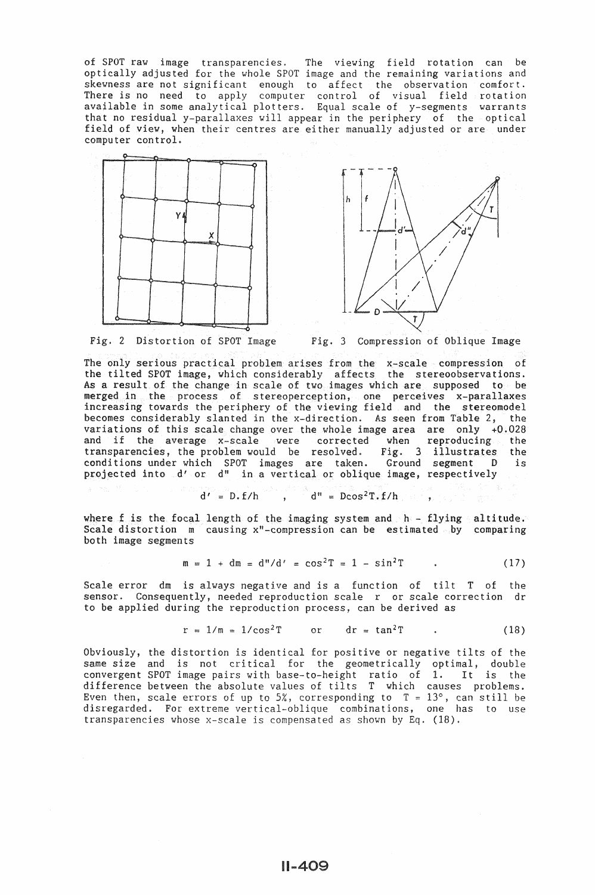of SPOT raw image transparencies. The viewing field rotation can be optically adjusted for the whole SPOT image and the remaining variations and skewness are not significant enough to affect the observation comfort. There is no need to apply computer control of visual field rotation available in some analytical plotters. Equal scale of y-segments warrants that no residual y-parallaxes will appear in the periphery of the optical field of view, when their centres are either manually adjusted or are under computer control.







• 2 Distortion of SPOT Image Fig. 3 Compression of Oblique Image

The only serious practical problem arises from the x-scale compression of the tilted SPOT image, which considerably affects the stereoobservations. As a result of the change in scale of two images which are supposed to be merged in the process of stereoperception, one perceives x-parallaxes increasing towards the periphery of the viewing field and the stereomodel becomes considerably slanted in the x-direction. As seen from Table 2, the variations of this scale change over the whole image area are only +0.028 and if the average x-scale were corrected when reproducing the transparencies, the problem would be resolved. Fig. 3 illustrates the conditions under which SPOT images are taken. Ground segment D projected into d' or d" in a vertical or oblique image, respectively

$$
d' = D \cdot f/h \qquad , \qquad d'' = D \cos^2 T \cdot f/h
$$

where f is the focal length of the imaging system and  $h - f$ lying altitude. Scale distortion  $m$  causing  $x''$ -compression can be estimated by comparing both image segments

$$
m = 1 + dm = d''/d' = cos2T = 1 - sin2T
$$
 (17)

Scale error dm is always negative and is a function of tilt T of the sensor. Consequently, needed reproduction scale r or scale correction dr to be applied during the reproduction process, can be derived as

$$
r = 1/m = 1/\cos^2 T \qquad or \qquad dr = \tan^2 T \qquad . \tag{18}
$$

Obviously, the distortion is identical for positive or negative tilts of the same size and is not critical for the geometrically optimal, double convergent SPOT image pairs with base-to-height ratio of 1. It is the difference between the absolute values of tilts T which causes problems. Even then, scale errors of up to  $5\%$ , corresponding to  $T = 13^{\circ}$ , can still be disregarded. For extreme vertical-oblique combinations, one has to use transparencies whose x-scale is compensated as shown by Eq. (18).